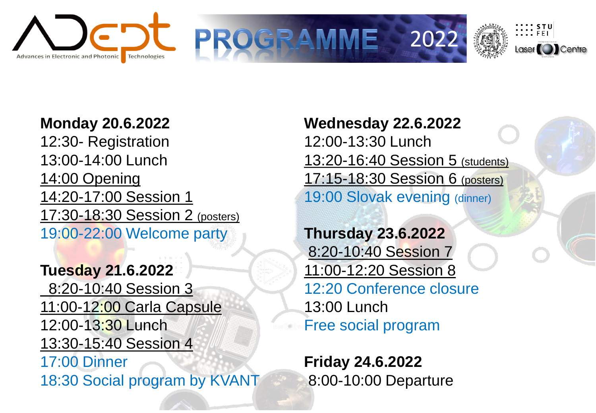



OGRA



**Monday 20.6.2022**

12:30- Registration 13:00-14:00 Lunch 14:00 Opening 14:20-17:00 Session 1 17:30-18:30 Session 2 (posters) 19:00-22:00 Welcome party

**Tuesday 21.6.2022** 8:20-10:40 Session 3 11:00-12:00 Carla Capsule 12:00-13:30 Lunch 13:30-15:40 Session 4 17:00 Dinner 18:30 Social program by KVANT **Wednesday 22.6.2022** 12:00-13:30 Lunch 13:20-16:40 Session 5 (students) 17:15-18:30 Session 6 (posters) 19:00 Slovak evening (dinner)

**Thursday 23.6.2022** 8:20-10:40 Session 7 11:00-12:20 Session 8 12:20 Conference closure 13:00 Lunch Free social program

**Friday 24.6.2022** 8:00-10:00 Departure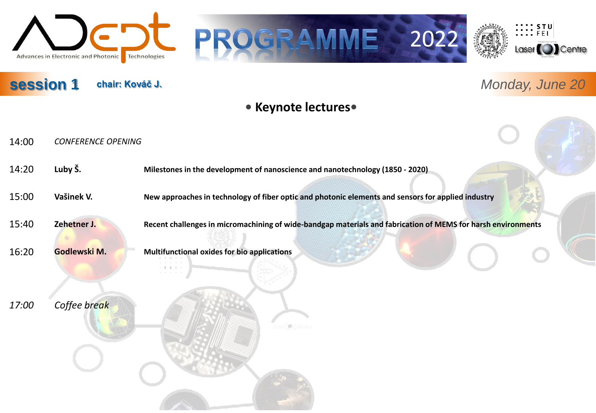

#### **session 1 chair: Kováč J.**







# *Monday, June 20*

#### **• Keynote lectures•**

- 14:00 *CONFERENCE OPENING*
- 14:20 **Luby Š. Milestones in the development of nanoscience and nanotechnology (1850 - 2020)**
- 15:00 **Vašinek V. New approaches in technology of fiber optic and photonic elements and sensors for applied industry**
- 

15:40 **Zehetner J. Recent challenges in micromachining of wide-bandgap materials and fabrication of MEMS for harsh environments**

16:20 **Godlewski M. Multifunctional oxides for bio applications**

*17:00 Coffee break*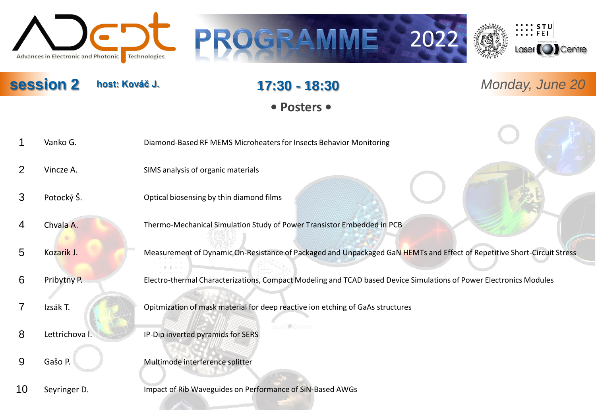





**session 2** *Monday, June 20* **host: Kováč J.**

# **17:30 - 18:30**

**• Posters •**

- 1 Vanko G. Diamond-Based RF MEMS Microheaters for Insects Behavior Monitoring
- 2 Vincze A. SIMS analysis of organic materials
- 3 Potocký Š. Optical biosensing by thin diamond films
- 
- 4 Chvala A. Thermo-Mechanical Simulation Study of Power Transistor Embedded in PCB
- 5 Kozarik J. Measurement of Dynamic On-Resistance of Packaged and Unpackaged GaN HEMTs and Effect of Repetitive Short-Circuit Stress
- 6 Pribytny P. Electro-thermal Characterizations, Compact Modeling and TCAD based Device Simulations of Power Electronics Modules
- 
- 7 Izsák T. Opitmization of mask material for deep reactive ion etching of GaAs structures
- 8 Lettrichova I. **IP-Dip inverted pyramids for SERS**
- 
- 9 Gašo P. Multimode interference splitter
- 10 Seyringer D. **Impact of Rib Waveguides on Performance of SiN-Based AWGs**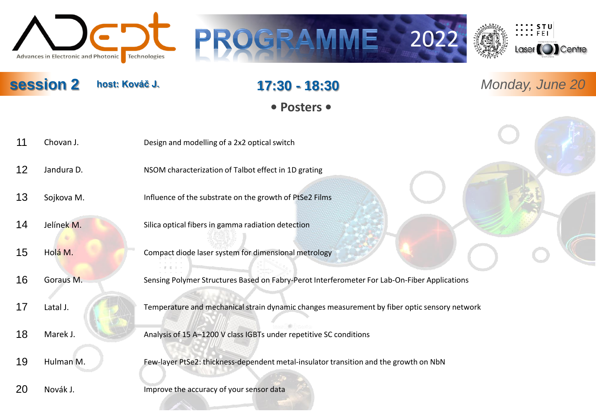





**host: Kováč J.**

## **17:30 - 18:30**

**• Posters •**

- 11 Chovan J. Design and modelling of a 2x2 optical switch
- 12 Jandura D. NSOM characterization of Talbot effect in 1D grating
- 13 Sojkova M. **Influence of the substrate on the growth of PtSe2 Films**
- 14 Jelínek M. Silica optical fibers in gamma radiation detection
- 15 Holá M. Compact diode laser system for dimensional metrology
- 16 Goraus M. Sensing Polymer Structures Based on Fabry-Perot Interferometer For Lab-On-Fiber Applications
- 17 Latal J. Temperature and mechanical strain dynamic changes measurement by fiber optic sensory network
- 
- 18 Marek J. Analysis of 15 A–1200 V class IGBTs under repetitive SC conditions
- 
- 19 Hulman M. Few-layer PtSe2: thickness-dependent metal-insulator transition and the growth on NbN
- 20 Novák J. **Improve the accuracy of your sensor data**

**session 2** *Monday, June 20*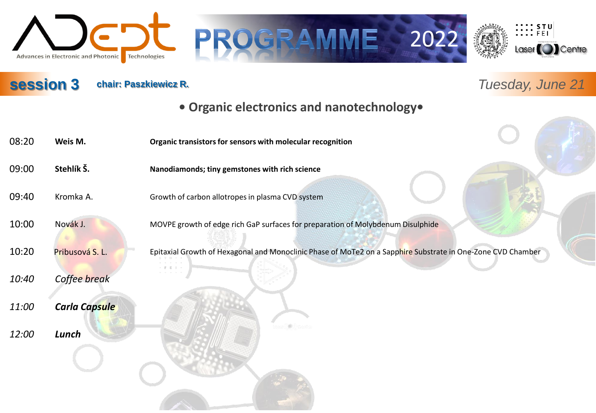





**chair: Paszkiewicz R.** *Tuesday, June 21*

## **• Organic electronics and nanotechnology•**

08:20 **Weis M. Organic transistors for sensors with molecular recognition** 09:00 **Stehlík Š. Nanodiamonds; tiny gemstones with rich science** 09:40 Kromka A. Growth of carbon allotropes in plasma CVD system 10:00 Novák J. MOVPE growth of edge rich GaP surfaces for preparation of Molybdenum Disulphide 10:20 Pribusová S. L. Epitaxial Growth of Hexagonal and Monoclinic Phase of MoTe2 on a Sapphire Substrate in One-Zone CVD Chamber *10:40 Coffee break 11:00 Carla Capsule 12:00 Lunch*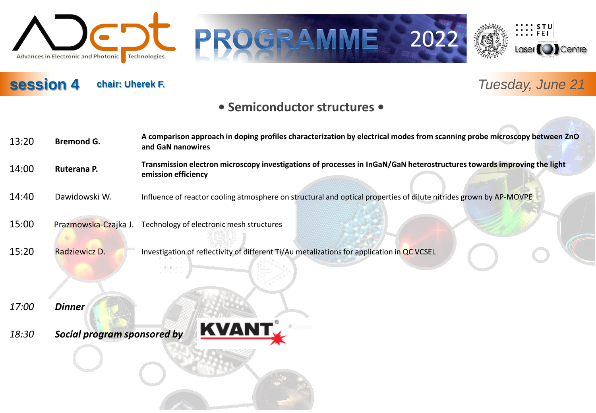

# GRAMME 2022





# **session 4**

# **chair: Uherek F.** *Tuesday, June 21*

#### **• Semiconductor structures •**

| 13:20 | <b>Bremond G.</b>    | A comparison approach in doping profiles characterization by electrical modes from scanning probe microscopy between ZnO<br>and GaN nanowires |
|-------|----------------------|-----------------------------------------------------------------------------------------------------------------------------------------------|
| 14:00 | Ruterana P.          | Transmission electron microscopy investigations of processes in InGaN/GaN heterostructures towards improving the light<br>emission efficiency |
| 14:40 | Dawidowski W.        | Influence of reactor cooling atmosphere on structural and optical properties of dilute nitrides grown by AP-MOVPE                             |
| 15:00 | Prazmowska-Czajka J. | Technology of electronic mesh structures                                                                                                      |
| 15:20 | Radziewicz D.        | Investigation of reflectivity of different Ti/Au metalizations for application in QC VCSEL                                                    |

- *17:00 Dinner*
- *18:30 Social program sponsored by*

 $\mathbb{F}^{\times} \to \mathbb{F}$ 

**KVANT**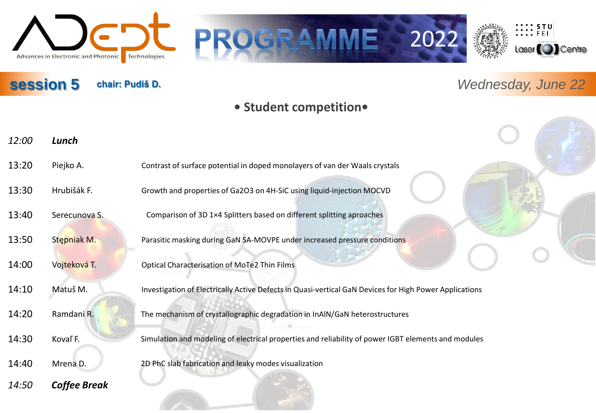

# **chair: Pudiš D.** *Wednesday, June 22*

 $\frac{1}{2}\cdots\frac{1}{2}\sum_{i=1}^{n}$ 

Laser<sup>(</sup>O)Centre

#### **• Student competition•**

GRAMME 2022

| 12:00 | Lunch               |                                                                                                        |
|-------|---------------------|--------------------------------------------------------------------------------------------------------|
| 13:20 | Piejko A.           | Contrast of surface potential in doped monolayers of van der Waals crystals                            |
| 13:30 | Hrubišák F.         | Growth and properties of Ga2O3 on 4H-SiC using liquid-injection MOCVD                                  |
| 13:40 | Serecunova S.       | Comparison of 3D 1×4 Splitters based on different splitting aproaches                                  |
| 13:50 | Stepniak M.         | Parasitic masking during GaN SA-MOVPE under increased pressure conditions                              |
| 14:00 | Vojteková T.        | Optical Characterisation of MoTe2 Thin Films                                                           |
| 14:10 | Matuš M.            | Investigation of Electrically Active Defects in Quasi-vertical GaN Devices for High Power Applications |
| 14:20 | Ramdani R.          | The mechanism of crystallographic degradation in InAlN/GaN heterostructures                            |
| 14:30 | Kovaľ F.            | Simulation and modeling of electrical properties and reliability of power IGBT elements and modules    |
| 14:40 | Mrena D.            | 2D PhC slab fabrication and leaky modes visualization                                                  |
| 14:50 | <b>Coffee Break</b> |                                                                                                        |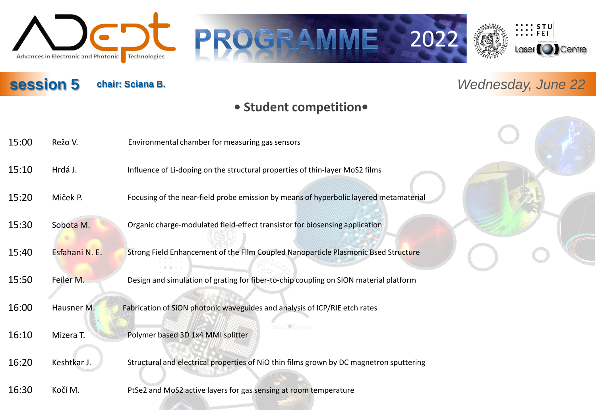

# **chair: Sciana B.** *Wednesday, June 22*

 $\frac{1}{2}\cdots\frac{1}{2}\sum_{i=1}^{n}$ 

Laser<sup>(</sup>O)Centre

#### **• Student competition•**

GRAMME 2022

| 15:00 | Režo V.        | Environmental chamber for measuring gas sensors                                         |  |
|-------|----------------|-----------------------------------------------------------------------------------------|--|
| 15:10 | Hrdá J.        | Influence of Li-doping on the structural properties of thin-layer MoS2 films            |  |
| 15:20 | Miček P.       | Focusing of the near-field probe emission by means of hyperbolic layered metamaterial   |  |
| 15:30 | Sobota M.      | Organic charge-modulated field-effect transistor for biosensing application             |  |
| 15:40 | Esfahani N. E. | Strong Field Enhancement of the Film Coupled Nanoparticle Plasmonic Bsed Structure      |  |
| 15:50 | Feiler M.      | Design and simulation of grating for fiber-to-chip coupling on SION material platform   |  |
| 16:00 | Hausner M.     | Fabrication of SiON photonic waveguides and analysis of ICP/RIE etch rates              |  |
| 16:10 | Mizera T.      | Polymer based 3D 1x4 MMI splitter                                                       |  |
| 16:20 | Keshtkar J.    | Structural and electrical properties of NiO thin films grown by DC magnetron sputtering |  |
| 16:30 | Kočí M.        | PtSe2 and MoS2 active layers for gas sensing at room temperature                        |  |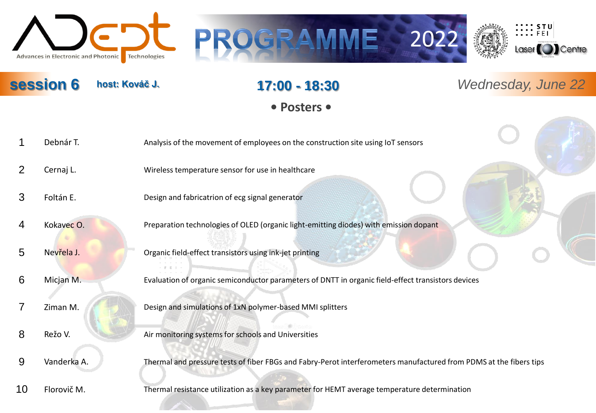





**session 6 host: Kováč J. 17:00 - 18:30** Wednesday, June 22 **host: Kováč J.**

# **17:00 - 18:30**

**• Posters •**

- 1 Debnár T. Analysis of the movement of employees on the construction site using IoT sensors
- 2 Cernaj L. Wireless temperature sensor for use in healthcare
- 3 Foltán E. Design and fabricatrion of ecg signal generator
- 
- 4 Kokavec O. Preparation technologies of OLED (organic light-emitting diodes) with emission dopant
- 5 Nevřela J. Organic field-effect transistors using ink-jet printing
- 6 Micjan M. Evaluation of organic semiconductor parameters of DNTT in organic field-effect transistors devices
- 
- 7 Ziman M. Design and simulations of 1xN polymer-based MMI splitters
	-
- 8 Režo V. Air monitoring systems for schools and Universities
- 9 Vanderka A. Thermal and pressure tests of fiber FBGs and Fabry-Perot interferometers manufactured from PDMS at the fibers tips
- 

10 Florovič M. Thermal resistance utilization as a key parameter for HEMT average temperature determination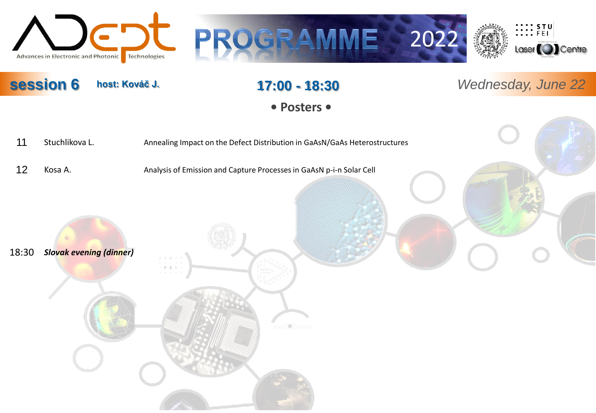





**session 6 host: Kováč J. 17:00 - 18:30** Wednesday, June 22 **host: Kováč J.**

**17:00 - 18:30**

**• Posters •**

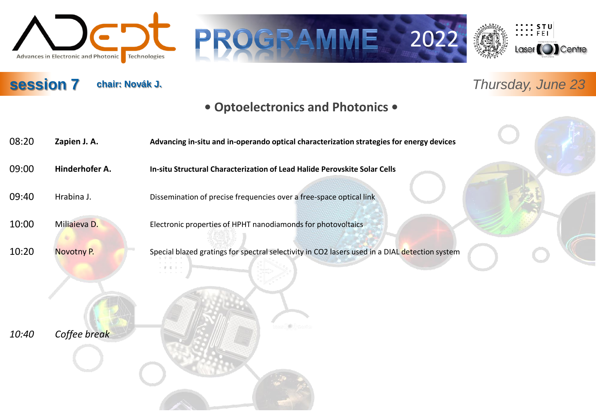







# **chair: Novák J.** *Thursday, June 23*

#### **• Optoelectronics and Photonics •**

| 08:20 | Zapien J. A.   | Advancing in-situ and in-operando optical characterization strategies for energy devices       |
|-------|----------------|------------------------------------------------------------------------------------------------|
| 09:00 | Hinderhofer A. | In-situ Structural Characterization of Lead Halide Perovskite Solar Cells                      |
| 09:40 | Hrabina J.     | Dissemination of precise frequencies over a free-space optical link                            |
| 10:00 | Miliaieva D.   | Electronic properties of HPHT nanodiamonds for photovoltaics                                   |
| 10:20 | Novotny P.     | Special blazed gratings for spectral selectivity in CO2 lasers used in a DIAL detection system |
|       |                |                                                                                                |
|       |                |                                                                                                |
| 10:40 | Coffee break   |                                                                                                |
|       |                |                                                                                                |
|       |                |                                                                                                |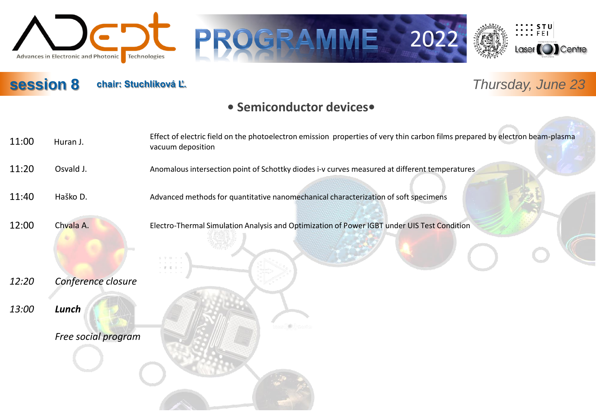







# **chair: Stuchlíková Ľ.** *Thursday, June 23*

#### **• Semiconductor devices•**

 $\Box$ 

| 11:00 | Huran J.            | Effect of electric field on the photoelectron emission properties of very thin carbon films prepared by electron beam-plasma<br>vacuum deposition |
|-------|---------------------|---------------------------------------------------------------------------------------------------------------------------------------------------|
| 11:20 | Osvald J.           | Anomalous intersection point of Schottky diodes i-v curves measured at different temperatures                                                     |
| 11:40 | Haško D.            | Advanced methods for quantitative nanomechanical characterization of soft specimens                                                               |
| 12:00 | Chvala A.           | Electro-Thermal Simulation Analysis and Optimization of Power IGBT under UIS Test Condition                                                       |
| 12:20 | Conference closure  |                                                                                                                                                   |
| 13:00 | Lunch               |                                                                                                                                                   |
|       | Free social program |                                                                                                                                                   |